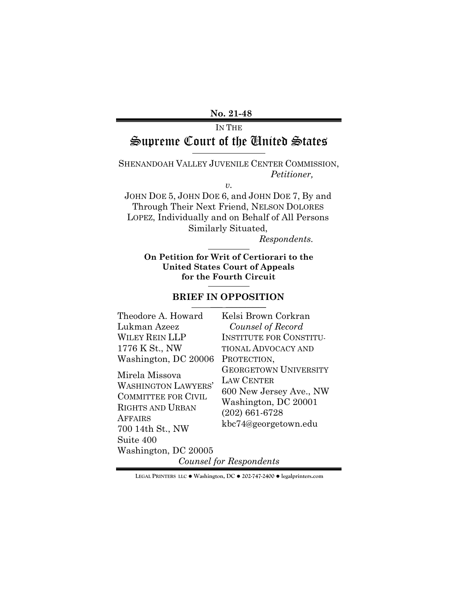### **No. 21-48**

# IN THE Supreme Court of the United States

SHENANDOAH VALLEY JUVENILE CENTER COMMISSION, *Petitioner,* 

*v.*

JOHN DOE 5, JOHN DOE 6, and JOHN DOE 7, By and Through Their Next Friend, NELSON DOLORES LOPEZ, Individually and on Behalf of All Persons Similarly Situated,

*Respondents.*

**On Petition for Writ of Certiorari to the United States Court of Appeals for the Fourth Circuit**

#### **BRIEF IN OPPOSITION**

 $\mathcal{L}_\text{max}$  and  $\mathcal{L}_\text{max}$  are the set of the set of the set of the set of the set of the set of the set of the set of the set of the set of the set of the set of the set of the set of the set of the set of the set o

| Theodore A. Howard                                                                                                                          | Kelsi Brown Corkran                                                                                                                              |  |  |  |
|---------------------------------------------------------------------------------------------------------------------------------------------|--------------------------------------------------------------------------------------------------------------------------------------------------|--|--|--|
| Lukman Azeez                                                                                                                                | Counsel of Record                                                                                                                                |  |  |  |
| <b>WILEY REIN LLP</b>                                                                                                                       | <b>INSTITUTE FOR CONSTITU-</b>                                                                                                                   |  |  |  |
| 1776 K St., NW                                                                                                                              | <b>TIONAL ADVOCACY AND</b>                                                                                                                       |  |  |  |
| Washington, DC 20006                                                                                                                        | PROTECTION,                                                                                                                                      |  |  |  |
| Mirela Missova<br><b>WASHINGTON LAWYERS'</b><br><b>COMMITTEE FOR CIVIL</b><br><b>RIGHTS AND URBAN</b><br><b>AFFAIRS</b><br>700 14th St., NW | <b>GEORGETOWN UNIVERSITY</b><br><b>LAW CENTER</b><br>600 New Jersey Ave., NW<br>Washington, DC 20001<br>$(202)$ 661-6728<br>kbc74@georgetown.edu |  |  |  |
| Suite 400                                                                                                                                   |                                                                                                                                                  |  |  |  |
| Washington, DC 20005                                                                                                                        |                                                                                                                                                  |  |  |  |
| Counsel for Respondents                                                                                                                     |                                                                                                                                                  |  |  |  |

**LEGAL PRINTERS LLC** ! **Washington, DC** ! **202-747-2400** ! **legalprinters.com**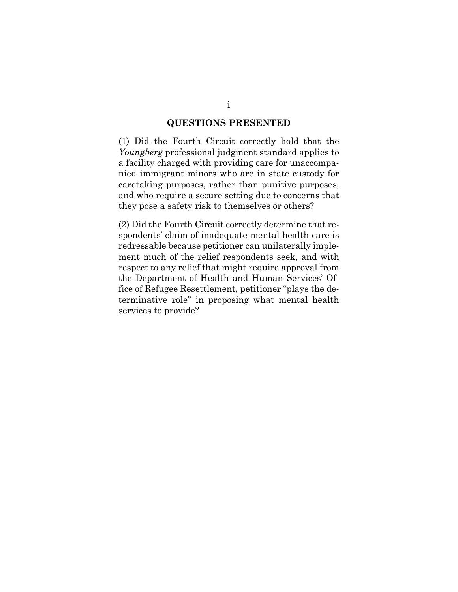#### **QUESTIONS PRESENTED**

<span id="page-1-0"></span>(1) Did the Fourth Circuit correctly hold that the *Youngberg* professional judgment standard applies to a facility charged with providing care for unaccompanied immigrant minors who are in state custody for caretaking purposes, rather than punitive purposes, and who require a secure setting due to concerns that they pose a safety risk to themselves or others?

(2) Did the Fourth Circuit correctly determine that respondents' claim of inadequate mental health care is redressable because petitioner can unilaterally implement much of the relief respondents seek, and with respect to any relief that might require approval from the Department of Health and Human Services' Office of Refugee Resettlement, petitioner "plays the determinative role" in proposing what mental health services to provide?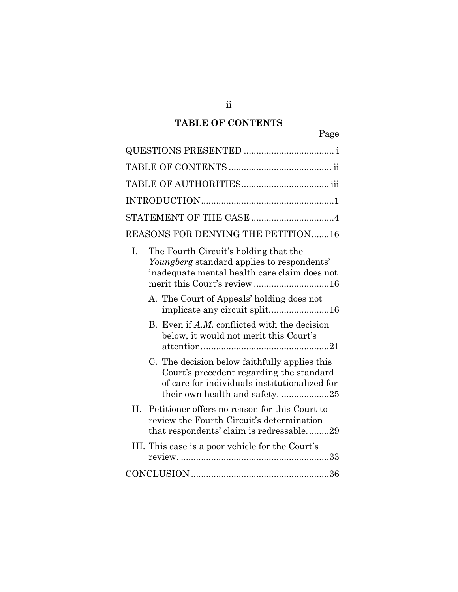# **TABLE OF CONTENTS**

<span id="page-2-0"></span>

|     | STATEMENT OF THE CASE 4                                                                                                                                                     |
|-----|-----------------------------------------------------------------------------------------------------------------------------------------------------------------------------|
|     | REASONS FOR DENYING THE PETITION16                                                                                                                                          |
| I.  | The Fourth Circuit's holding that the<br>Youngberg standard applies to respondents'<br>inadequate mental health care claim does not<br>merit this Court's review16          |
|     | A. The Court of Appeals' holding does not<br>implicate any circuit split16                                                                                                  |
|     | B. Even if A.M. conflicted with the decision<br>below, it would not merit this Court's                                                                                      |
|     | C. The decision below faithfully applies this<br>Court's precedent regarding the standard<br>of care for individuals institutionalized for<br>their own health and safety25 |
| II. | Petitioner offers no reason for this Court to<br>review the Fourth Circuit's determination<br>that respondents' claim is redressable29                                      |
|     | III. This case is a poor vehicle for the Court's                                                                                                                            |
|     |                                                                                                                                                                             |

ii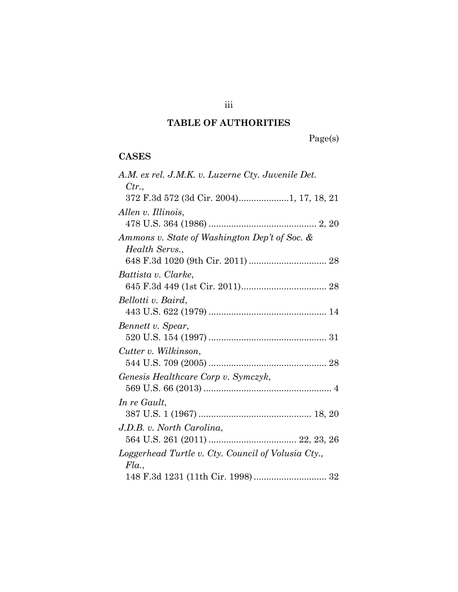# **TABLE OF AUTHORITIES**

Page(s)

# <span id="page-3-0"></span>**CASES**

| A.M. ex rel. J.M.K. v. Luzerne Cty. Juvenile Det.  |
|----------------------------------------------------|
| Ctr.                                               |
| 372 F.3d 572 (3d Cir. 2004)1, 17, 18, 21           |
| Allen v. Illinois,                                 |
|                                                    |
| Ammons v. State of Washington Dep't of Soc. &      |
| Health Servs.,                                     |
|                                                    |
| Battista v. Clarke,                                |
|                                                    |
| Bellotti v. Baird,                                 |
|                                                    |
| Bennett v. Spear,                                  |
|                                                    |
| Cutter v. Wilkinson,                               |
|                                                    |
| Genesis Healthcare Corp v. Symczyk,                |
|                                                    |
| In re Gault,                                       |
|                                                    |
| J.D.B. v. North Carolina,                          |
|                                                    |
| Loggerhead Turtle v. Cty. Council of Volusia Cty., |
| Fla.,                                              |
|                                                    |

iii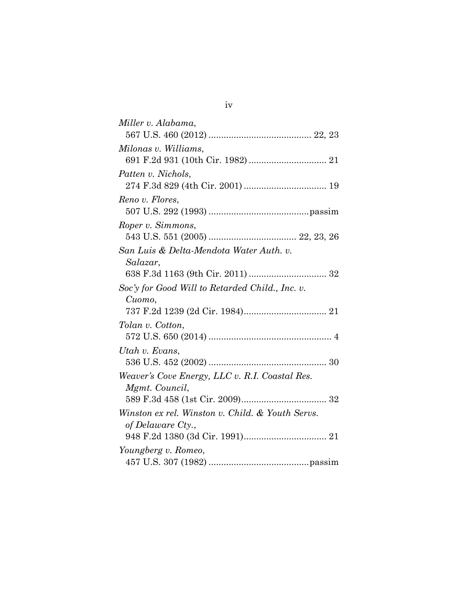| Miller v. Alabama,                               |
|--------------------------------------------------|
|                                                  |
| Milonas v. Williams,                             |
|                                                  |
| Patten v. Nichols,                               |
|                                                  |
| Reno v. Flores,                                  |
|                                                  |
| Roper v. Simmons,                                |
|                                                  |
| San Luis & Delta-Mendota Water Auth. v.          |
| Salazar,                                         |
|                                                  |
| Soc'y for Good Will to Retarded Child., Inc. v.  |
| Cuomo,                                           |
|                                                  |
| Tolan v. Cotton,                                 |
|                                                  |
| Utah v. Evans,                                   |
|                                                  |
| Weaver's Cove Energy, LLC v. R.I. Coastal Res.   |
| Mgmt. Council,                                   |
|                                                  |
| Winston ex rel. Winston v. Child. & Youth Servs. |
| of Delaware Cty.,                                |
|                                                  |
| Youngberg v. Romeo,                              |
|                                                  |

iv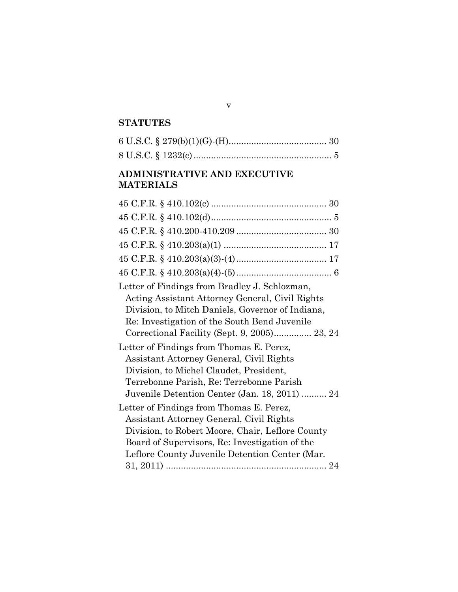# **STATUTES**

# **ADMINISTRATIVE AND EXECUTIVE MATERIALS**

| Letter of Findings from Bradley J. Schlozman,    |
|--------------------------------------------------|
| Acting Assistant Attorney General, Civil Rights  |
| Division, to Mitch Daniels, Governor of Indiana, |
| Re: Investigation of the South Bend Juvenile     |
| Correctional Facility (Sept. 9, 2005) 23, 24     |
| Letter of Findings from Thomas E. Perez,         |
| Assistant Attorney General, Civil Rights         |
| Division, to Michel Claudet, President,          |
| Terrebonne Parish, Re: Terrebonne Parish         |
| Juvenile Detention Center (Jan. 18, 2011)  24    |
| Letter of Findings from Thomas E. Perez,         |
| Assistant Attorney General, Civil Rights         |
| Division, to Robert Moore, Chair, Leflore County |
| Board of Supervisors, Re: Investigation of the   |
| Leflore County Juvenile Detention Center (Mar.   |
|                                                  |
|                                                  |

v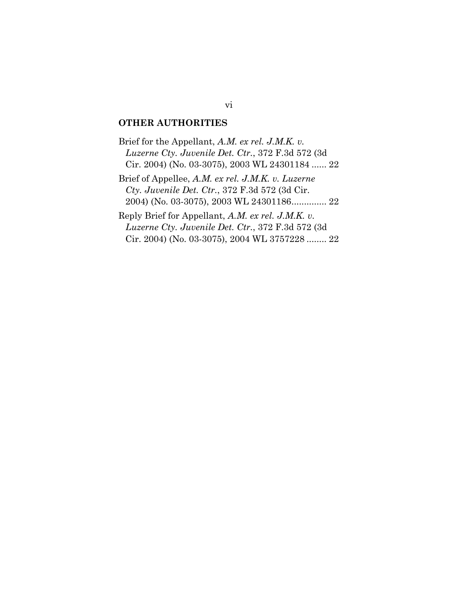#### **OTHER AUTHORITIES**

Brief for the Appellant, *A.M. ex rel. J.M.K. v. Luzerne Cty. Juvenile Det. Ctr.*, 372 F.3d 572 (3d Cir. 2004) (No. 03-3075), 2003 WL 24301184 ...... 22 Brief of Appellee, *A.M. ex rel. J.M.K. v. Luzerne Cty. Juvenile Det. Ctr.*, 372 F.3d 572 (3d Cir. 2004) (No. 03-3075), 2003 WL 24301186.............. 22

Reply Brief for Appellant, *A.M. ex rel. J.M.K. v. Luzerne Cty. Juvenile Det. Ctr.*, 372 F.3d 572 (3d Cir. 2004) (No. 03-3075), 2004 WL 3757228 ........ 22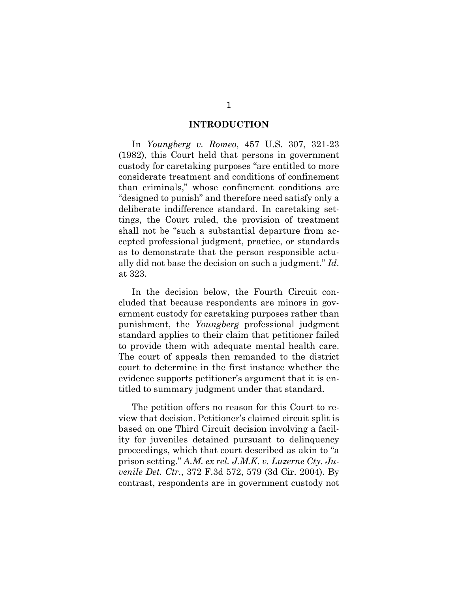#### **INTRODUCTION**

<span id="page-7-0"></span>In *Youngberg v. Romeo*, 457 U.S. 307, 321-23 (1982), this Court held that persons in government custody for caretaking purposes "are entitled to more considerate treatment and conditions of confinement than criminals," whose confinement conditions are "designed to punish" and therefore need satisfy only a deliberate indifference standard. In caretaking settings, the Court ruled, the provision of treatment shall not be "such a substantial departure from accepted professional judgment, practice, or standards as to demonstrate that the person responsible actually did not base the decision on such a judgment." *Id*. at 323.

In the decision below, the Fourth Circuit concluded that because respondents are minors in government custody for caretaking purposes rather than punishment, the *Youngberg* professional judgment standard applies to their claim that petitioner failed to provide them with adequate mental health care. The court of appeals then remanded to the district court to determine in the first instance whether the evidence supports petitioner's argument that it is entitled to summary judgment under that standard.

The petition offers no reason for this Court to review that decision. Petitioner's claimed circuit split is based on one Third Circuit decision involving a facility for juveniles detained pursuant to delinquency proceedings, which that court described as akin to "a prison setting." *A.M. ex rel. J.M.K. v. Luzerne Cty. Juvenile Det. Ctr.*, 372 F.3d 572, 579 (3d Cir. 2004). By contrast, respondents are in government custody not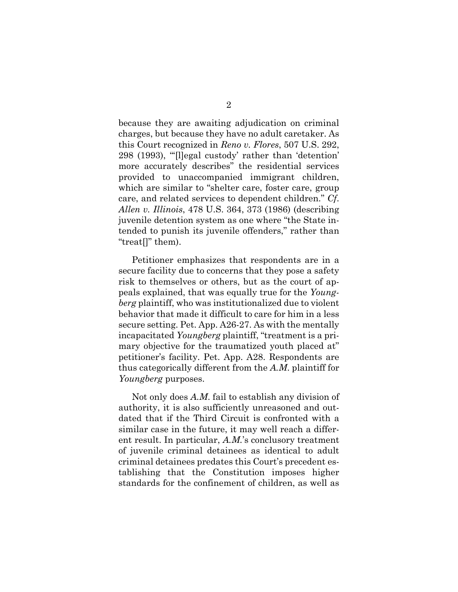because they are awaiting adjudication on criminal charges, but because they have no adult caretaker. As this Court recognized in *Reno v. Flores*, 507 U.S. 292, 298 (1993), "'[l]egal custody' rather than 'detention' more accurately describes" the residential services provided to unaccompanied immigrant children, which are similar to "shelter care, foster care, group care, and related services to dependent children." *Cf*. *Allen v. Illinois*, 478 U.S. 364, 373 (1986) (describing juvenile detention system as one where "the State intended to punish its juvenile offenders," rather than "treat[]" them).

Petitioner emphasizes that respondents are in a secure facility due to concerns that they pose a safety risk to themselves or others, but as the court of appeals explained, that was equally true for the *Youngberg* plaintiff, who was institutionalized due to violent behavior that made it difficult to care for him in a less secure setting. Pet. App. A26-27. As with the mentally incapacitated *Youngberg* plaintiff, "treatment is a primary objective for the traumatized youth placed at" petitioner's facility. Pet. App. A28. Respondents are thus categorically different from the *A.M*. plaintiff for *Youngberg* purposes.

Not only does *A.M*. fail to establish any division of authority, it is also sufficiently unreasoned and outdated that if the Third Circuit is confronted with a similar case in the future, it may well reach a different result. In particular, *A.M.*'s conclusory treatment of juvenile criminal detainees as identical to adult criminal detainees predates this Court's precedent establishing that the Constitution imposes higher standards for the confinement of children, as well as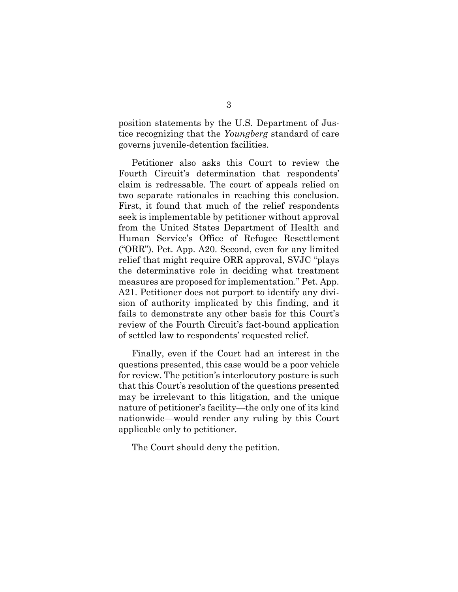position statements by the U.S. Department of Justice recognizing that the *Youngberg* standard of care governs juvenile-detention facilities.

Petitioner also asks this Court to review the Fourth Circuit's determination that respondents' claim is redressable. The court of appeals relied on two separate rationales in reaching this conclusion. First, it found that much of the relief respondents seek is implementable by petitioner without approval from the United States Department of Health and Human Service's Office of Refugee Resettlement ("ORR"). Pet. App. A20. Second, even for any limited relief that might require ORR approval, SVJC "plays the determinative role in deciding what treatment measures are proposed for implementation." Pet. App. A21. Petitioner does not purport to identify any division of authority implicated by this finding, and it fails to demonstrate any other basis for this Court's review of the Fourth Circuit's fact-bound application of settled law to respondents' requested relief.

Finally, even if the Court had an interest in the questions presented, this case would be a poor vehicle for review. The petition's interlocutory posture is such that this Court's resolution of the questions presented may be irrelevant to this litigation, and the unique nature of petitioner's facility—the only one of its kind nationwide—would render any ruling by this Court applicable only to petitioner.

<span id="page-9-0"></span>The Court should deny the petition.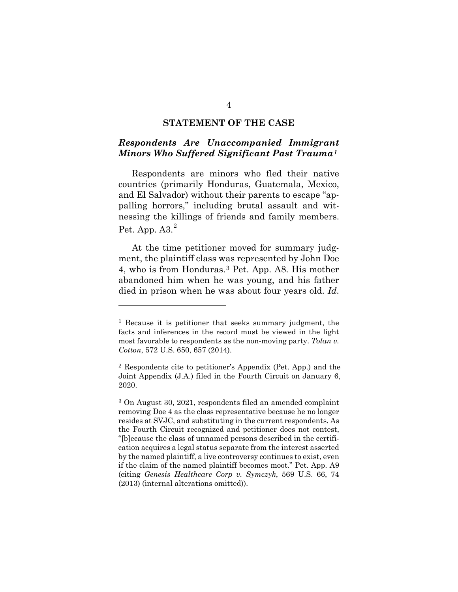#### **STATEMENT OF THE CASE**

#### *Respondents Are Unaccompanied Immigrant Minors Who Suffered Significant Past Trauma[1](#page-10-0)*

Respondents are minors who fled their native countries (primarily Honduras, Guatemala, Mexico, and El Salvador) without their parents to escape "appalling horrors," including brutal assault and witnessing the killings of friends and family members. Pet. App.  $A3.<sup>2</sup>$  $A3.<sup>2</sup>$  $A3.<sup>2</sup>$ 

At the time petitioner moved for summary judgment, the plaintiff class was represented by John Doe 4, who is from Honduras.[3](#page-10-2) Pet. App. A8. His mother abandoned him when he was young, and his father died in prison when he was about four years old. *Id*.

<span id="page-10-0"></span><sup>1</sup> Because it is petitioner that seeks summary judgment, the facts and inferences in the record must be viewed in the light most favorable to respondents as the non-moving party. *Tolan v. Cotton*, 572 U.S. 650, 657 (2014).

<span id="page-10-1"></span><sup>2</sup> Respondents cite to petitioner's Appendix (Pet. App.) and the Joint Appendix (J.A.) filed in the Fourth Circuit on January 6, 2020.

<span id="page-10-2"></span><sup>3</sup> On August 30, 2021, respondents filed an amended complaint removing Doe 4 as the class representative because he no longer resides at SVJC, and substituting in the current respondents. As the Fourth Circuit recognized and petitioner does not contest, "[b]ecause the class of unnamed persons described in the certification acquires a legal status separate from the interest asserted by the named plaintiff, a live controversy continues to exist, even if the claim of the named plaintiff becomes moot." Pet. App. A9 (citing *Genesis Healthcare Corp v. Symczyk*, 569 U.S. 66, 74 (2013) (internal alterations omitted)).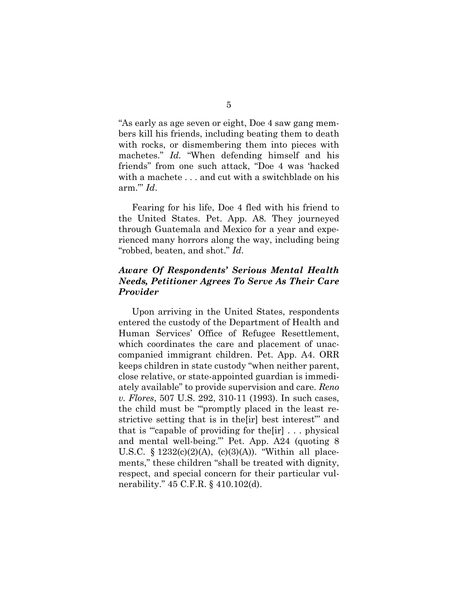"As early as age seven or eight, Doe 4 saw gang members kill his friends, including beating them to death with rocks, or dismembering them into pieces with machetes." *Id.* "When defending himself and his friends" from one such attack, "Doe 4 was 'hacked with a machete . . . and cut with a switchblade on his arm."' *Id*.

Fearing for his life, Doe 4 fled with his friend to the United States. Pet. App. A8*.* They journeyed through Guatemala and Mexico for a year and experienced many horrors along the way, including being "robbed, beaten, and shot." *Id*.

## *Aware Of Respondents' Serious Mental Health Needs, Petitioner Agrees To Serve As Their Care Provider*

Upon arriving in the United States, respondents entered the custody of the Department of Health and Human Services' Office of Refugee Resettlement, which coordinates the care and placement of unaccompanied immigrant children. Pet. App. A4. ORR keeps children in state custody "when neither parent, close relative, or state-appointed guardian is immediately available" to provide supervision and care. *Reno v. Flores*, 507 U.S. 292, 310-11 (1993). In such cases, the child must be '"promptly placed in the least restrictive setting that is in the[ir] best interest"' and that is '"capable of providing for the[ir] . . . physical and mental well-being."' Pet. App. A24 (quoting 8 U.S.C.  $\S 1232(c)(2)(A)$ ,  $(c)(3)(A)$ . "Within all placements," these children "shall be treated with dignity, respect, and special concern for their particular vulnerability." 45 C.F.R. § 410.102(d).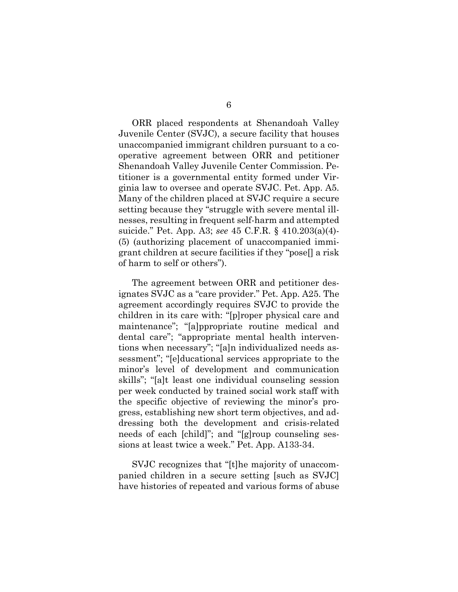ORR placed respondents at Shenandoah Valley Juvenile Center (SVJC), a secure facility that houses unaccompanied immigrant children pursuant to a cooperative agreement between ORR and petitioner Shenandoah Valley Juvenile Center Commission. Petitioner is a governmental entity formed under Virginia law to oversee and operate SVJC. Pet. App. A5. Many of the children placed at SVJC require a secure setting because they "struggle with severe mental illnesses, resulting in frequent self-harm and attempted suicide." Pet. App. A3; *see* 45 C.F.R. § 410.203(a)(4)- (5) (authorizing placement of unaccompanied immigrant children at secure facilities if they "pose[] a risk of harm to self or others").

The agreement between ORR and petitioner designates SVJC as a "care provider." Pet. App. A25. The agreement accordingly requires SVJC to provide the children in its care with: "[p]roper physical care and maintenance"; "[a]ppropriate routine medical and dental care"; "appropriate mental health interventions when necessary"; "[a]n individualized needs assessment"; "[e]ducational services appropriate to the minor's level of development and communication skills"; "[a]t least one individual counseling session per week conducted by trained social work staff with the specific objective of reviewing the minor's progress, establishing new short term objectives, and addressing both the development and crisis-related needs of each [child]"; and "[g]roup counseling sessions at least twice a week." Pet. App. A133-34.

SVJC recognizes that "[t]he majority of unaccompanied children in a secure setting [such as SVJC] have histories of repeated and various forms of abuse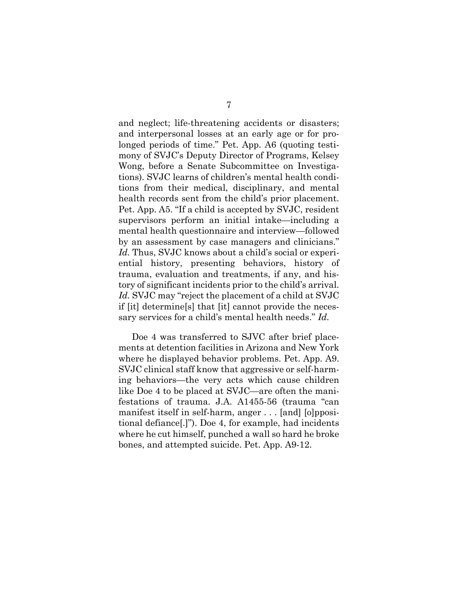and neglect; life-threatening accidents or disasters; and interpersonal losses at an early age or for prolonged periods of time." Pet. App. A6 (quoting testimony of SVJC's Deputy Director of Programs, Kelsey Wong, before a Senate Subcommittee on Investigations). SVJC learns of children's mental health conditions from their medical, disciplinary, and mental health records sent from the child's prior placement. Pet. App. A5. "If a child is accepted by SVJC, resident supervisors perform an initial intake—including a mental health questionnaire and interview—followed by an assessment by case managers and clinicians." *Id.* Thus, SVJC knows about a child's social or experiential history, presenting behaviors, history of trauma, evaluation and treatments, if any, and history of significant incidents prior to the child's arrival. *Id.* SVJC may "reject the placement of a child at SVJC if [it] determine[s] that [it] cannot provide the necessary services for a child's mental health needs." *Id.*

Doe 4 was transferred to SJVC after brief placements at detention facilities in Arizona and New York where he displayed behavior problems. Pet. App. A9. SVJC clinical staff know that aggressive or self-harming behaviors—the very acts which cause children like Doe 4 to be placed at SVJC—are often the manifestations of trauma. J.A. A1455-56 (trauma "can manifest itself in self-harm, anger . . . [and] [o]ppositional defiance[.]"). Doe 4, for example, had incidents where he cut himself, punched a wall so hard he broke bones, and attempted suicide. Pet. App. A9-12.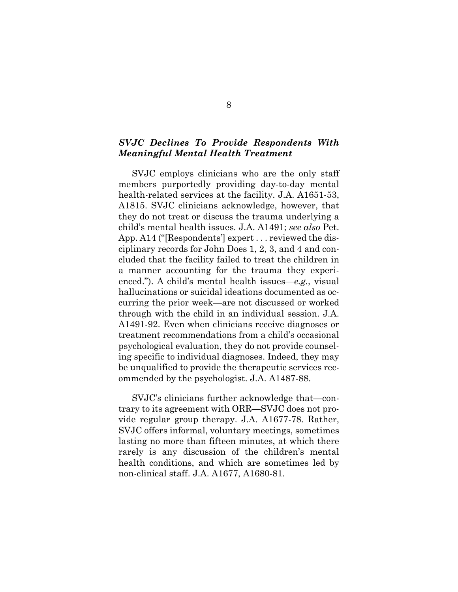#### *SVJC Declines To Provide Respondents With Meaningful Mental Health Treatment*

SVJC employs clinicians who are the only staff members purportedly providing day-to-day mental health-related services at the facility. J.A. A1651-53, A1815. SVJC clinicians acknowledge, however, that they do not treat or discuss the trauma underlying a child's mental health issues. J.A. A1491; *see also* Pet. App. A14 ("[Respondents'] expert . . . reviewed the disciplinary records for John Does 1, 2, 3, and 4 and concluded that the facility failed to treat the children in a manner accounting for the trauma they experienced."). A child's mental health issues—*e.g.*, visual hallucinations or suicidal ideations documented as occurring the prior week—are not discussed or worked through with the child in an individual session. J.A. A1491-92. Even when clinicians receive diagnoses or treatment recommendations from a child's occasional psychological evaluation, they do not provide counseling specific to individual diagnoses. Indeed, they may be unqualified to provide the therapeutic services recommended by the psychologist. J.A. A1487-88.

SVJC's clinicians further acknowledge that—contrary to its agreement with ORR—SVJC does not provide regular group therapy. J.A. A1677-78. Rather, SVJC offers informal, voluntary meetings, sometimes lasting no more than fifteen minutes, at which there rarely is any discussion of the children's mental health conditions, and which are sometimes led by non-clinical staff. J.A. A1677, A1680-81.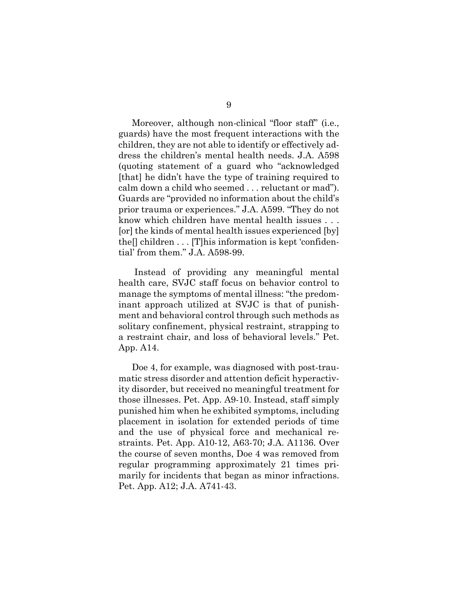Moreover, although non-clinical "floor staff" (i.e., guards) have the most frequent interactions with the children, they are not able to identify or effectively address the children's mental health needs. J.A. A598 (quoting statement of a guard who "acknowledged [that] he didn't have the type of training required to calm down a child who seemed . . . reluctant or mad"). Guards are "provided no information about the child's prior trauma or experiences." J.A. A599. "They do not know which children have mental health issues . . . [or] the kinds of mental health issues experienced [by] the[] children . . . [T]his information is kept 'confidential' from them." J.A. A598-99.

Instead of providing any meaningful mental health care, SVJC staff focus on behavior control to manage the symptoms of mental illness: "the predominant approach utilized at SVJC is that of punishment and behavioral control through such methods as solitary confinement, physical restraint, strapping to a restraint chair, and loss of behavioral levels." Pet. App. A14.

Doe 4, for example, was diagnosed with post-traumatic stress disorder and attention deficit hyperactivity disorder, but received no meaningful treatment for those illnesses. Pet. App. A9-10. Instead, staff simply punished him when he exhibited symptoms, including placement in isolation for extended periods of time and the use of physical force and mechanical restraints. Pet. App. A10-12, A63-70; J.A. A1136. Over the course of seven months, Doe 4 was removed from regular programming approximately 21 times primarily for incidents that began as minor infractions. Pet. App. A12; J.A. A741-43.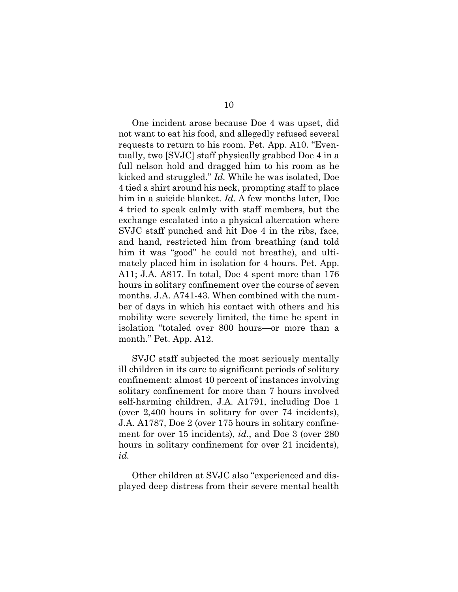One incident arose because Doe 4 was upset, did not want to eat his food, and allegedly refused several requests to return to his room. Pet. App. A10. "Eventually, two [SVJC] staff physically grabbed Doe 4 in a full nelson hold and dragged him to his room as he kicked and struggled." *Id.* While he was isolated, Doe 4 tied a shirt around his neck, prompting staff to place him in a suicide blanket. *Id.* A few months later, Doe 4 tried to speak calmly with staff members, but the exchange escalated into a physical altercation where SVJC staff punched and hit Doe 4 in the ribs, face, and hand, restricted him from breathing (and told him it was "good" he could not breathe), and ultimately placed him in isolation for 4 hours. Pet. App. A11; J.A. A817. In total, Doe 4 spent more than 176 hours in solitary confinement over the course of seven months. J.A. A741-43. When combined with the number of days in which his contact with others and his mobility were severely limited, the time he spent in isolation "totaled over 800 hours—or more than a month." Pet. App. A12.

SVJC staff subjected the most seriously mentally ill children in its care to significant periods of solitary confinement: almost 40 percent of instances involving solitary confinement for more than 7 hours involved self-harming children, J.A. A1791, including Doe 1 (over 2,400 hours in solitary for over 74 incidents), J.A. A1787, Doe 2 (over 175 hours in solitary confinement for over 15 incidents), *id.*, and Doe 3 (over 280 hours in solitary confinement for over 21 incidents), *id.*

Other children at SVJC also "experienced and displayed deep distress from their severe mental health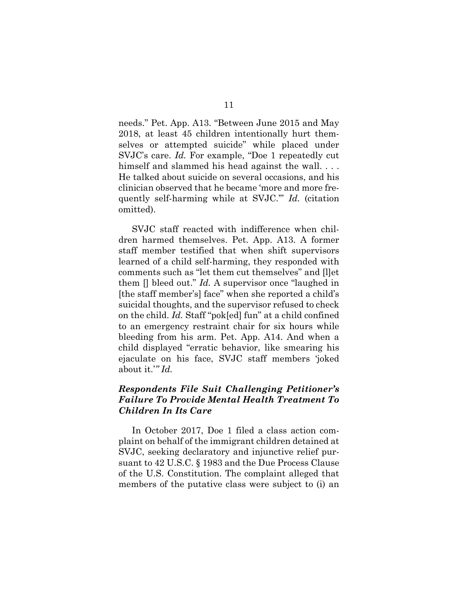needs." Pet. App. A13. "Between June 2015 and May 2018, at least 45 children intentionally hurt themselves or attempted suicide" while placed under SVJC's care. *Id.* For example, "Doe 1 repeatedly cut himself and slammed his head against the wall... He talked about suicide on several occasions, and his clinician observed that he became 'more and more frequently self-harming while at SVJC.'" *Id.* (citation omitted).

SVJC staff reacted with indifference when children harmed themselves. Pet. App. A13. A former staff member testified that when shift supervisors learned of a child self-harming, they responded with comments such as "let them cut themselves" and [l]et them [] bleed out." *Id.* A supervisor once "laughed in [the staff member's] face" when she reported a child's suicidal thoughts, and the supervisor refused to check on the child. *Id.* Staff "pok[ed] fun" at a child confined to an emergency restraint chair for six hours while bleeding from his arm. Pet. App. A14. And when a child displayed "erratic behavior, like smearing his ejaculate on his face, SVJC staff members 'joked about it.'*" Id.*

## *Respondents File Suit Challenging Petitioner's Failure To Provide Mental Health Treatment To Children In Its Care*

In October 2017, Doe 1 filed a class action complaint on behalf of the immigrant children detained at SVJC, seeking declaratory and injunctive relief pursuant to 42 U.S.C. § 1983 and the Due Process Clause of the U.S. Constitution. The complaint alleged that members of the putative class were subject to (i) an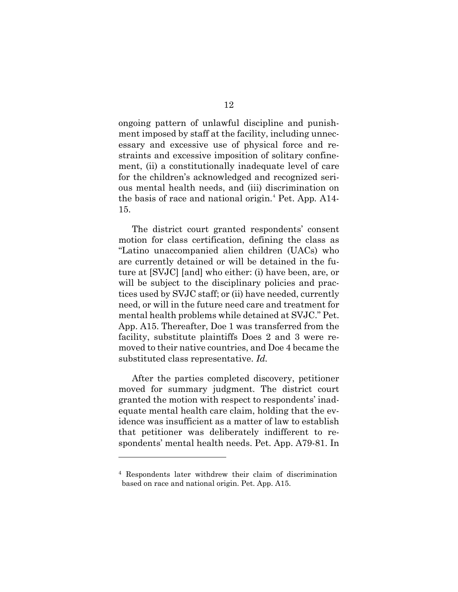ongoing pattern of unlawful discipline and punishment imposed by staff at the facility, including unnecessary and excessive use of physical force and restraints and excessive imposition of solitary confinement, (ii) a constitutionally inadequate level of care for the children's acknowledged and recognized serious mental health needs, and (iii) discrimination on the basis of race and national origin.[4](#page-18-0) Pet. App*.* A14- 15.

The district court granted respondents' consent motion for class certification, defining the class as "Latino unaccompanied alien children (UACs) who are currently detained or will be detained in the future at [SVJC] [and] who either: (i) have been, are, or will be subject to the disciplinary policies and practices used by SVJC staff; or (ii) have needed, currently need, or will in the future need care and treatment for mental health problems while detained at SVJC." Pet. App. A15. Thereafter, Doe 1 was transferred from the facility, substitute plaintiffs Does 2 and 3 were removed to their native countries, and Doe 4 became the substituted class representative. *Id.*

After the parties completed discovery, petitioner moved for summary judgment. The district court granted the motion with respect to respondents' inadequate mental health care claim, holding that the evidence was insufficient as a matter of law to establish that petitioner was deliberately indifferent to respondents' mental health needs. Pet. App. A79-81. In

<span id="page-18-0"></span><sup>4</sup> Respondents later withdrew their claim of discrimination based on race and national origin. Pet. App. A15.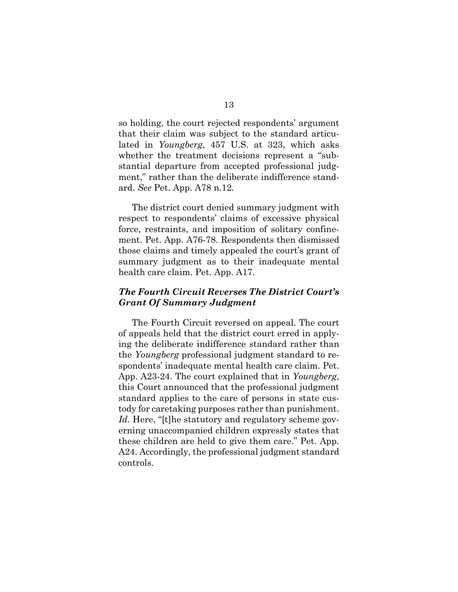so holding, the court rejected respondents' argument that their claim was subject to the standard articulated in *Youngberg*, 457 U.S. at 323, which asks whether the treatment decisions represent a "substantial departure from accepted professional judgment," rather than the deliberate indifference standard. *See* Pet. App. A78 n.12*.*

The district court denied summary judgment with respect to respondents' claims of excessive physical force, restraints, and imposition of solitary confinement. Pet. App. A76-78. Respondents then dismissed those claims and timely appealed the court's grant of summary judgment as to their inadequate mental health care claim. Pet. App. A17.

## *The Fourth Circuit Reverses The District Court's Grant Of Summary Judgment*

The Fourth Circuit reversed on appeal. The court of appeals held that the district court erred in applying the deliberate indifference standard rather than the *Youngberg* professional judgment standard to respondents' inadequate mental health care claim. Pet. App. A23-24. The court explained that in *Youngberg*, this Court announced that the professional judgment standard applies to the care of persons in state custody for caretaking purposes rather than punishment. *Id.* Here, "[t]he statutory and regulatory scheme governing unaccompanied children expressly states that these children are held to give them care." Pet. App. A24. Accordingly, the professional judgment standard controls.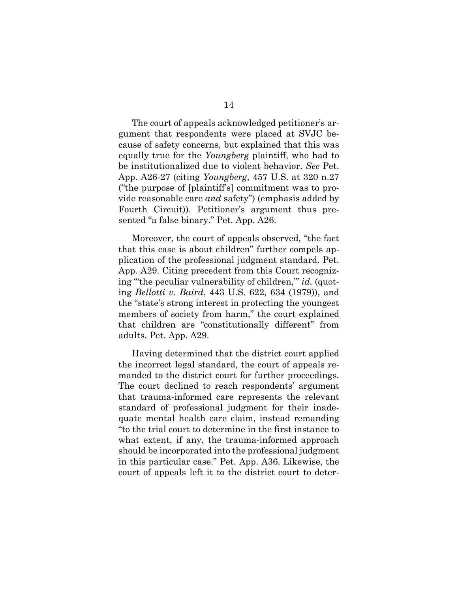The court of appeals acknowledged petitioner's argument that respondents were placed at SVJC because of safety concerns, but explained that this was equally true for the *Youngberg* plaintiff, who had to be institutionalized due to violent behavior. *See* Pet. App. A26-27 (citing *Youngberg*, 457 U.S. at 320 n.27 ("the purpose of [plaintiff's] commitment was to provide reasonable care *and* safety") (emphasis added by Fourth Circuit)). Petitioner's argument thus presented "a false binary." Pet. App. A26.

Moreover, the court of appeals observed, "the fact that this case is about children" further compels application of the professional judgment standard. Pet. App. A29. Citing precedent from this Court recognizing "'the peculiar vulnerability of children,'" *id.* (quoting *Bellotti v. Baird*, 443 U.S. 622, 634 (1979)), and the "state's strong interest in protecting the youngest members of society from harm," the court explained that children are "constitutionally different" from adults. Pet. App. A29.

Having determined that the district court applied the incorrect legal standard, the court of appeals remanded to the district court for further proceedings. The court declined to reach respondents' argument that trauma-informed care represents the relevant standard of professional judgment for their inadequate mental health care claim, instead remanding "to the trial court to determine in the first instance to what extent, if any, the trauma-informed approach should be incorporated into the professional judgment in this particular case." Pet. App. A36. Likewise, the court of appeals left it to the district court to deter-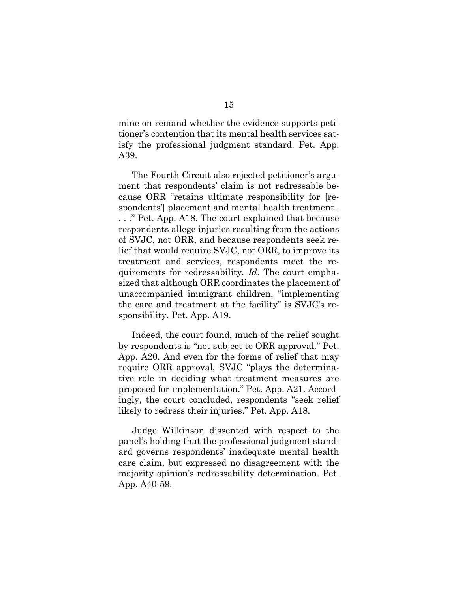mine on remand whether the evidence supports petitioner's contention that its mental health services satisfy the professional judgment standard. Pet. App. A39.

The Fourth Circuit also rejected petitioner's argument that respondents' claim is not redressable because ORR "retains ultimate responsibility for [respondents'] placement and mental health treatment . . . ." Pet. App. A18. The court explained that because respondents allege injuries resulting from the actions of SVJC, not ORR, and because respondents seek relief that would require SVJC, not ORR, to improve its treatment and services, respondents meet the requirements for redressability*. Id*. The court emphasized that although ORR coordinates the placement of unaccompanied immigrant children, "implementing the care and treatment at the facility" is SVJC's responsibility. Pet. App. A19.

Indeed, the court found, much of the relief sought by respondents is "not subject to ORR approval." Pet. App. A20. And even for the forms of relief that may require ORR approval, SVJC "plays the determinative role in deciding what treatment measures are proposed for implementation." Pet. App. A21. Accordingly, the court concluded, respondents "seek relief likely to redress their injuries." Pet. App. A18.

Judge Wilkinson dissented with respect to the panel's holding that the professional judgment standard governs respondents' inadequate mental health care claim, but expressed no disagreement with the majority opinion's redressability determination. Pet. App. A40-59.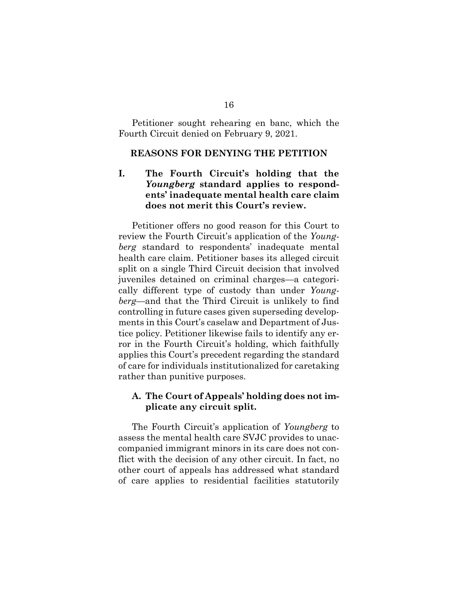Petitioner sought rehearing en banc, which the Fourth Circuit denied on February 9, 2021.

#### <span id="page-22-0"></span>**REASONS FOR DENYING THE PETITION**

## <span id="page-22-1"></span>**I. The Fourth Circuit's holding that the**  *Youngberg* **standard applies to respondents' inadequate mental health care claim does not merit this Court's review.**

Petitioner offers no good reason for this Court to review the Fourth Circuit's application of the *Youngberg* standard to respondents' inadequate mental health care claim. Petitioner bases its alleged circuit split on a single Third Circuit decision that involved juveniles detained on criminal charges—a categorically different type of custody than under *Youngberg*—and that the Third Circuit is unlikely to find controlling in future cases given superseding developments in this Court's caselaw and Department of Justice policy. Petitioner likewise fails to identify any error in the Fourth Circuit's holding, which faithfully applies this Court's precedent regarding the standard of care for individuals institutionalized for caretaking rather than punitive purposes.

#### <span id="page-22-2"></span>**A. The Court of Appeals' holding does not implicate any circuit split.**

The Fourth Circuit's application of *Youngberg* to assess the mental health care SVJC provides to unaccompanied immigrant minors in its care does not conflict with the decision of any other circuit. In fact, no other court of appeals has addressed what standard of care applies to residential facilities statutorily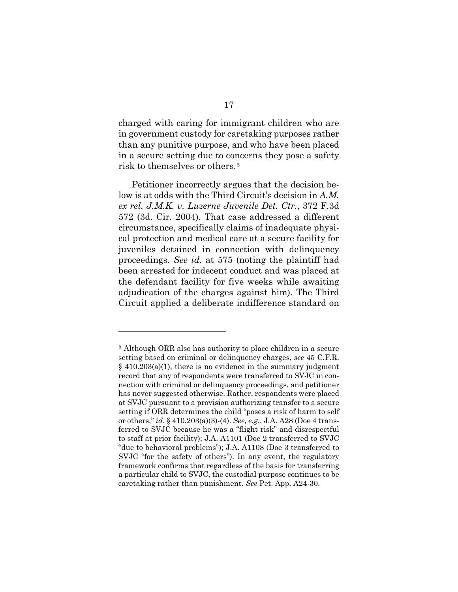charged with caring for immigrant children who are in government custody for caretaking purposes rather than any punitive purpose, and who have been placed in a secure setting due to concerns they pose a safety risk to themselves or others.[5](#page-23-0) 

Petitioner incorrectly argues that the decision below is at odds with the Third Circuit's decision in *A.M. ex rel. J.M.K. v. Luzerne Juvenile Det. Ctr.*, 372 F.3d 572 (3d. Cir. 2004). That case addressed a different circumstance, specifically claims of inadequate physical protection and medical care at a secure facility for juveniles detained in connection with delinquency proceedings. *See id*. at 575 (noting the plaintiff had been arrested for indecent conduct and was placed at the defendant facility for five weeks while awaiting adjudication of the charges against him). The Third Circuit applied a deliberate indifference standard on

<span id="page-23-0"></span><sup>5</sup> Although ORR also has authority to place children in a secure setting based on criminal or delinquency charges, *see* 45 C.F.R.  $§$  410.203(a)(1), there is no evidence in the summary judgment record that any of respondents were transferred to SVJC in connection with criminal or delinquency proceedings, and petitioner has never suggested otherwise. Rather, respondents were placed at SVJC pursuant to a provision authorizing transfer to a secure setting if ORR determines the child "poses a risk of harm to self or others," *id*. § 410.203(a)(3)-(4). *See, e.g.*, J.A. A28 (Doe 4 transferred to SVJC because he was a "flight risk" and disrespectful to staff at prior facility); J.A. A1101 (Doe 2 transferred to SVJC "due to behavioral problems"); J.A. A1108 (Doe 3 transferred to SVJC "for the safety of others"). In any event, the regulatory framework confirms that regardless of the basis for transferring a particular child to SVJC, the custodial purpose continues to be caretaking rather than punishment. *See* Pet. App. A24-30.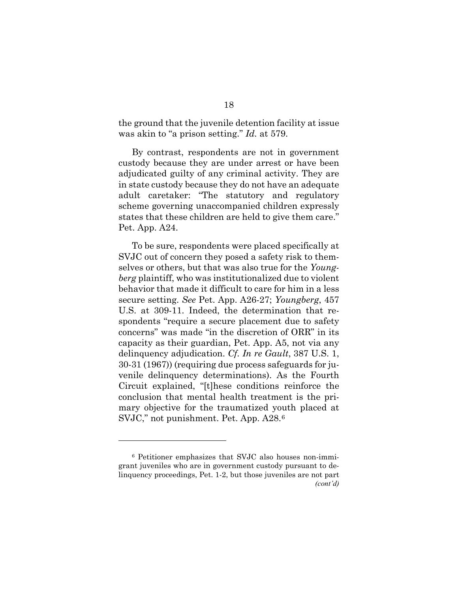the ground that the juvenile detention facility at issue was akin to "a prison setting." *Id.* at 579.

By contrast, respondents are not in government custody because they are under arrest or have been adjudicated guilty of any criminal activity. They are in state custody because they do not have an adequate adult caretaker: "The statutory and regulatory scheme governing unaccompanied children expressly states that these children are held to give them care." Pet. App. A24.

To be sure, respondents were placed specifically at SVJC out of concern they posed a safety risk to themselves or others, but that was also true for the *Youngberg* plaintiff, who was institutionalized due to violent behavior that made it difficult to care for him in a less secure setting. *See* Pet. App. A26-27; *Youngberg*, 457 U.S. at 309-11. Indeed, the determination that respondents "require a secure placement due to safety concerns" was made "in the discretion of ORR" in its capacity as their guardian, Pet. App. A5, not via any delinquency adjudication. *Cf. In re Gault*, 387 U.S. 1, 30-31 (1967)) (requiring due process safeguards for juvenile delinquency determinations). As the Fourth Circuit explained, "[t]hese conditions reinforce the conclusion that mental health treatment is the primary objective for the traumatized youth placed at SVJC," not punishment. Pet. App. A28.[6](#page-24-0) 

<span id="page-24-0"></span><sup>6</sup> Petitioner emphasizes that SVJC also houses non-immigrant juveniles who are in government custody pursuant to delinquency proceedings, Pet. 1-2, but those juveniles are not part *(cont'd)*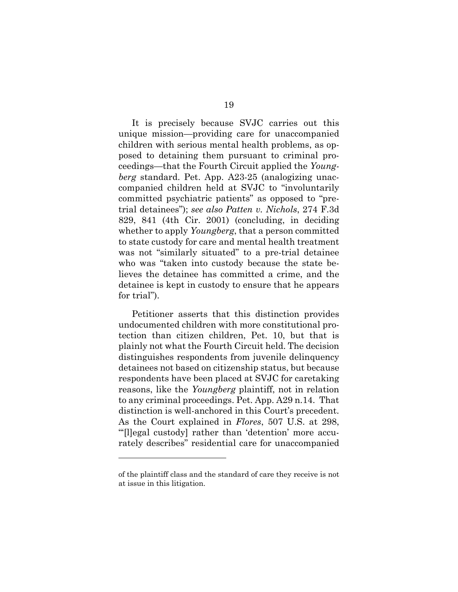It is precisely because SVJC carries out this unique mission—providing care for unaccompanied children with serious mental health problems, as opposed to detaining them pursuant to criminal proceedings—that the Fourth Circuit applied the *Youngberg* standard. Pet. App. A23-25 (analogizing unaccompanied children held at SVJC to "involuntarily committed psychiatric patients" as opposed to "pretrial detainees"); *see also Patten v. Nichols*, 274 F.3d 829, 841 (4th Cir. 2001) (concluding, in deciding whether to apply *Youngberg*, that a person committed to state custody for care and mental health treatment was not "similarly situated" to a pre-trial detainee who was "taken into custody because the state believes the detainee has committed a crime, and the detainee is kept in custody to ensure that he appears for trial").

Petitioner asserts that this distinction provides undocumented children with more constitutional protection than citizen children, Pet. 10, but that is plainly not what the Fourth Circuit held. The decision distinguishes respondents from juvenile delinquency detainees not based on citizenship status, but because respondents have been placed at SVJC for caretaking reasons, like the *Youngberg* plaintiff, not in relation to any criminal proceedings. Pet. App. A29 n.14. That distinction is well-anchored in this Court's precedent. As the Court explained in *Flores*, 507 U.S. at 298, "'[l]egal custody] rather than 'detention' more accurately describes" residential care for unaccompanied

of the plaintiff class and the standard of care they receive is not at issue in this litigation.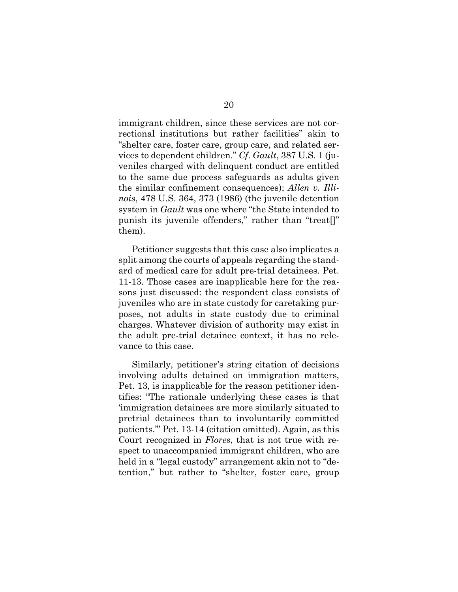immigrant children, since these services are not correctional institutions but rather facilities" akin to "shelter care, foster care, group care, and related services to dependent children." *Cf*. *Gault*, 387 U.S. 1 (juveniles charged with delinquent conduct are entitled to the same due process safeguards as adults given the similar confinement consequences); *Allen v. Illinois*, 478 U.S. 364, 373 (1986) (the juvenile detention system in *Gault* was one where "the State intended to punish its juvenile offenders," rather than "treat[]" them).

Petitioner suggests that this case also implicates a split among the courts of appeals regarding the standard of medical care for adult pre-trial detainees. Pet. 11-13. Those cases are inapplicable here for the reasons just discussed: the respondent class consists of juveniles who are in state custody for caretaking purposes, not adults in state custody due to criminal charges. Whatever division of authority may exist in the adult pre-trial detainee context, it has no relevance to this case.

Similarly, petitioner's string citation of decisions involving adults detained on immigration matters, Pet. 13, is inapplicable for the reason petitioner identifies: "The rationale underlying these cases is that 'immigration detainees are more similarly situated to pretrial detainees than to involuntarily committed patients.'" Pet. 13-14 (citation omitted). Again, as this Court recognized in *Flores*, that is not true with respect to unaccompanied immigrant children, who are held in a "legal custody" arrangement akin not to "detention," but rather to "shelter, foster care, group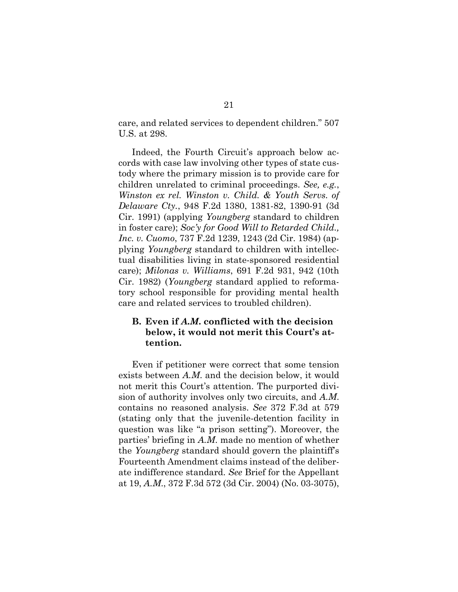care, and related services to dependent children." 507 U.S. at 298.

Indeed, the Fourth Circuit's approach below accords with case law involving other types of state custody where the primary mission is to provide care for children unrelated to criminal proceedings. *See, e.g.*, *Winston ex rel. Winston v. Child. & Youth Servs. of Delaware Cty.*, 948 F.2d 1380, 1381-82, 1390-91 (3d Cir. 1991) (applying *Youngberg* standard to children in foster care); *Soc'y for Good Will to Retarded Child., Inc. v. Cuomo*, 737 F.2d 1239, 1243 (2d Cir. 1984) (applying *Youngberg* standard to children with intellectual disabilities living in state-sponsored residential care); *Milonas v. Williams*, 691 F.2d 931, 942 (10th Cir. 1982) (*Youngberg* standard applied to reformatory school responsible for providing mental health care and related services to troubled children).

## <span id="page-27-0"></span>**B. Even if** *A.M***. conflicted with the decision below, it would not merit this Court's attention.**

Even if petitioner were correct that some tension exists between *A.M*. and the decision below, it would not merit this Court's attention. The purported division of authority involves only two circuits, and *A.M*. contains no reasoned analysis. *See* 372 F.3d at 579 (stating only that the juvenile-detention facility in question was like "a prison setting"). Moreover, the parties' briefing in *A.M*. made no mention of whether the *Youngberg* standard should govern the plaintiff's Fourteenth Amendment claims instead of the deliberate indifference standard. *See* Brief for the Appellant at 19, *A.M*., 372 F.3d 572 (3d Cir. 2004) (No. 03-3075),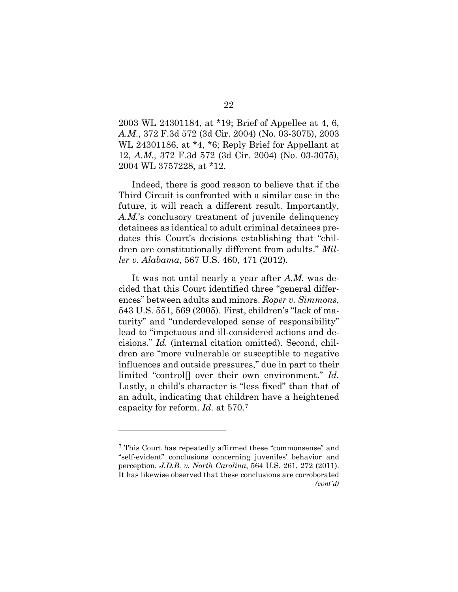2003 WL 24301184, at \*19; Brief of Appellee at 4, 6, *A.M*., 372 F.3d 572 (3d Cir. 2004) (No. 03-3075), 2003 WL 24301186, at \*4, \*6; Reply Brief for Appellant at 12, *A.M.,* 372 F.3d 572 (3d Cir. 2004) (No. 03-3075), 2004 WL 3757228, at \*12.

Indeed, there is good reason to believe that if the Third Circuit is confronted with a similar case in the future, it will reach a different result. Importantly, *A.M.*'s conclusory treatment of juvenile delinquency detainees as identical to adult criminal detainees predates this Court's decisions establishing that "children are constitutionally different from adults." *Miller v. Alabama*, 567 U.S. 460, 471 (2012).

It was not until nearly a year after *A.M.* was decided that this Court identified three "general differences" between adults and minors. *Roper v. Simmons*, 543 U.S. 551, 569 (2005). First, children's "lack of maturity" and "underdeveloped sense of responsibility" lead to "impetuous and ill-considered actions and decisions." *Id.* (internal citation omitted). Second, children are "more vulnerable or susceptible to negative influences and outside pressures," due in part to their limited "control[] over their own environment." *Id.* Lastly, a child's character is "less fixed" than that of an adult, indicating that children have a heightened capacity for reform. *Id.* at 570.[7](#page-28-0)

<span id="page-28-0"></span><sup>7</sup> This Court has repeatedly affirmed these "commonsense" and "self-evident" conclusions concerning juveniles' behavior and perception. *J.D.B. v. North Carolina*, 564 U.S. 261, 272 (2011). It has likewise observed that these conclusions are corroborated *(cont'd)*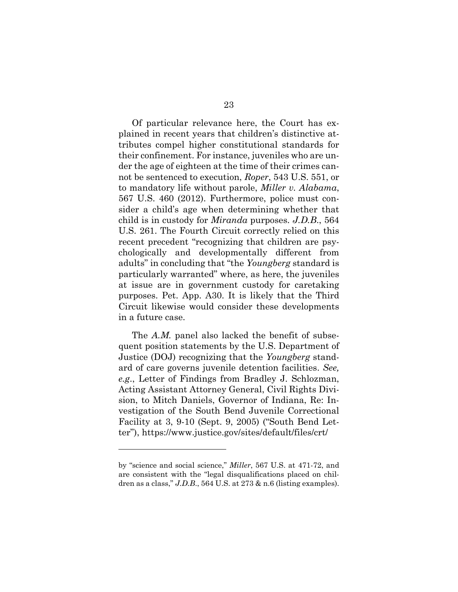Of particular relevance here, the Court has explained in recent years that children's distinctive attributes compel higher constitutional standards for their confinement. For instance, juveniles who are under the age of eighteen at the time of their crimes cannot be sentenced to execution, *Roper*, 543 U.S. 551, or to mandatory life without parole, *Miller v. Alabama*, 567 U.S. 460 (2012). Furthermore, police must consider a child's age when determining whether that child is in custody for *Miranda* purposes. *J.D.B*., 564 U.S. 261. The Fourth Circuit correctly relied on this recent precedent "recognizing that children are psychologically and developmentally different from adults" in concluding that "the *Youngberg* standard is particularly warranted" where, as here, the juveniles at issue are in government custody for caretaking purposes. Pet. App. A30. It is likely that the Third Circuit likewise would consider these developments in a future case.

The *A.M.* panel also lacked the benefit of subsequent position statements by the U.S. Department of Justice (DOJ) recognizing that the *Youngberg* standard of care governs juvenile detention facilities. *See, e.g*., Letter of Findings from Bradley J. Schlozman, Acting Assistant Attorney General, Civil Rights Division, to Mitch Daniels, Governor of Indiana, Re: Investigation of the South Bend Juvenile Correctional Facility at 3, 9-10 (Sept. 9, 2005) ("South Bend Letter"), https://www.justice.gov/sites/default/files/crt/

by "science and social science," *Miller*, 567 U.S. at 471-72, and are consistent with the "legal disqualifications placed on children as a class," J.D.B., 564 U.S. at 273 & n.6 (listing examples).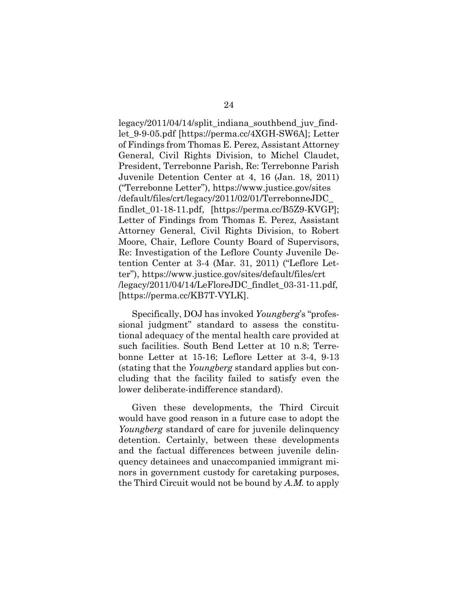legacy/2011/04/14/split\_indiana\_southbend\_juv\_findlet\_9-9-05.pdf [https://perma.cc/4XGH-SW6A]; Letter of Findings from Thomas E. Perez, Assistant Attorney General, Civil Rights Division, to Michel Claudet, President, Terrebonne Parish, Re: Terrebonne Parish Juvenile Detention Center at 4, 16 (Jan. 18, 2011) ("Terrebonne Letter"), https://www.justice.gov/sites /default/files/crt/legacy/2011/02/01/TerrebonneJDC\_ findlet\_01-18-11.pdf, [https://perma.cc/B5Z9-KVGP]; Letter of Findings from Thomas E. Perez, Assistant Attorney General, Civil Rights Division, to Robert Moore, Chair, Leflore County Board of Supervisors, Re: Investigation of the Leflore County Juvenile Detention Center at 3-4 (Mar. 31, 2011) ("Leflore Letter"), https://www.justice.gov/sites/default/files/crt /legacy/2011/04/14/LeFloreJDC\_findlet\_03-31-11.pdf, [https://perma.cc/KB7T-VYLK].

Specifically, DOJ has invoked *Youngberg*'s "professional judgment" standard to assess the constitutional adequacy of the mental health care provided at such facilities. South Bend Letter at 10 n.8; Terrebonne Letter at 15-16; Leflore Letter at 3-4, 9-13 (stating that the *Youngberg* standard applies but concluding that the facility failed to satisfy even the lower deliberate-indifference standard).

Given these developments, the Third Circuit would have good reason in a future case to adopt the *Youngberg* standard of care for juvenile delinquency detention. Certainly, between these developments and the factual differences between juvenile delinquency detainees and unaccompanied immigrant minors in government custody for caretaking purposes, the Third Circuit would not be bound by *A.M.* to apply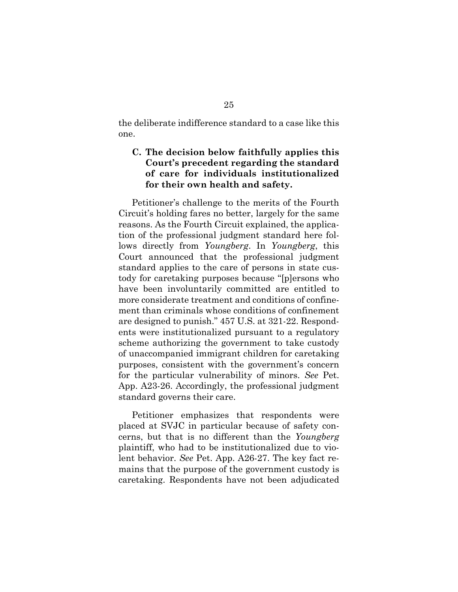the deliberate indifference standard to a case like this one.

## <span id="page-31-0"></span>**C. The decision below faithfully applies this Court's precedent regarding the standard of care for individuals institutionalized for their own health and safety.**

Petitioner's challenge to the merits of the Fourth Circuit's holding fares no better, largely for the same reasons. As the Fourth Circuit explained, the application of the professional judgment standard here follows directly from *Youngberg*. In *Youngberg*, this Court announced that the professional judgment standard applies to the care of persons in state custody for caretaking purposes because "[p]ersons who have been involuntarily committed are entitled to more considerate treatment and conditions of confinement than criminals whose conditions of confinement are designed to punish." 457 U.S. at 321-22. Respondents were institutionalized pursuant to a regulatory scheme authorizing the government to take custody of unaccompanied immigrant children for caretaking purposes, consistent with the government's concern for the particular vulnerability of minors. *See* Pet. App. A23-26. Accordingly, the professional judgment standard governs their care.

Petitioner emphasizes that respondents were placed at SVJC in particular because of safety concerns, but that is no different than the *Youngberg*  plaintiff, who had to be institutionalized due to violent behavior. *See* Pet. App. A26-27. The key fact remains that the purpose of the government custody is caretaking. Respondents have not been adjudicated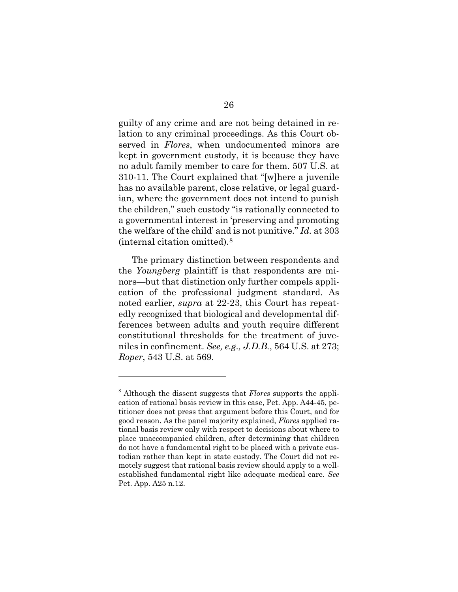guilty of any crime and are not being detained in relation to any criminal proceedings. As this Court observed in *Flores*, when undocumented minors are kept in government custody, it is because they have no adult family member to care for them. 507 U.S. at 310-11. The Court explained that "[w]here a juvenile has no available parent, close relative, or legal guardian, where the government does not intend to punish the children," such custody "is rationally connected to a governmental interest in 'preserving and promoting the welfare of the child' and is not punitive." *Id.* at 303 (internal citation omitted).[8](#page-32-0)

The primary distinction between respondents and the *Youngberg* plaintiff is that respondents are minors—but that distinction only further compels application of the professional judgment standard. As noted earlier, *supra* at 22-23, this Court has repeatedly recognized that biological and developmental differences between adults and youth require different constitutional thresholds for the treatment of juveniles in confinement. *See, e.g., J.D.B.*, 564 U.S. at 273; *Roper*, 543 U.S. at 569.

<span id="page-32-0"></span><sup>8</sup> Although the dissent suggests that *Flores* supports the application of rational basis review in this case, Pet. App. A44-45, petitioner does not press that argument before this Court, and for good reason. As the panel majority explained, *Flores* applied rational basis review only with respect to decisions about where to place unaccompanied children, after determining that children do not have a fundamental right to be placed with a private custodian rather than kept in state custody. The Court did not remotely suggest that rational basis review should apply to a wellestablished fundamental right like adequate medical care. *See*  Pet. App. A25 n.12.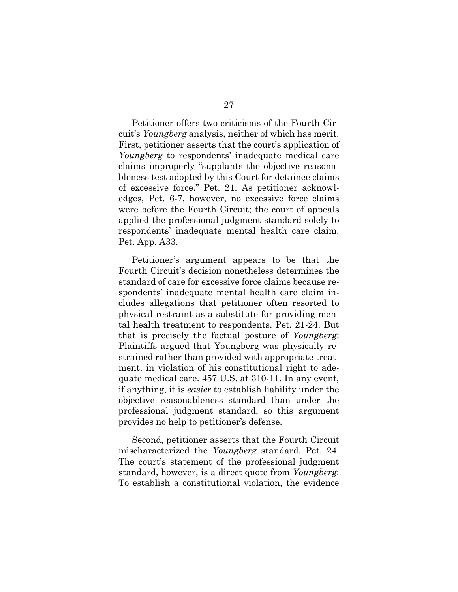Petitioner offers two criticisms of the Fourth Circuit's *Youngberg* analysis, neither of which has merit. First, petitioner asserts that the court's application of *Youngberg* to respondents' inadequate medical care claims improperly "supplants the objective reasonableness test adopted by this Court for detainee claims of excessive force." Pet. 21. As petitioner acknowledges, Pet. 6-7, however, no excessive force claims were before the Fourth Circuit; the court of appeals applied the professional judgment standard solely to respondents' inadequate mental health care claim. Pet. App. A33.

Petitioner's argument appears to be that the Fourth Circuit's decision nonetheless determines the standard of care for excessive force claims because respondents' inadequate mental health care claim includes allegations that petitioner often resorted to physical restraint as a substitute for providing mental health treatment to respondents. Pet. 21-24. But that is precisely the factual posture of *Youngberg*: Plaintiffs argued that Youngberg was physically restrained rather than provided with appropriate treatment, in violation of his constitutional right to adequate medical care. 457 U.S. at 310-11. In any event, if anything, it is *easier* to establish liability under the objective reasonableness standard than under the professional judgment standard, so this argument provides no help to petitioner's defense.

Second, petitioner asserts that the Fourth Circuit mischaracterized the *Youngberg* standard. Pet. 24. The court's statement of the professional judgment standard, however, is a direct quote from *Youngberg*: To establish a constitutional violation, the evidence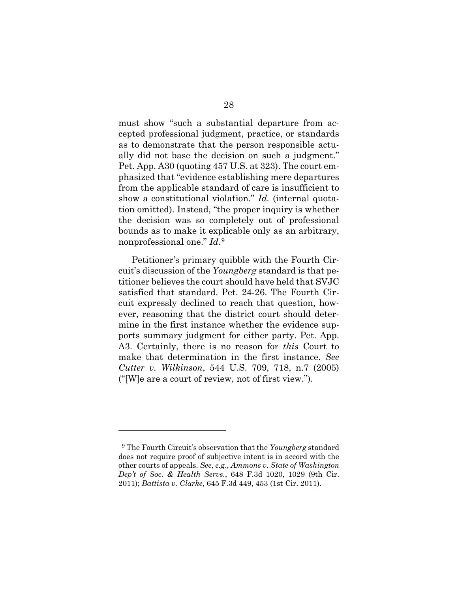must show "such a substantial departure from accepted professional judgment, practice, or standards as to demonstrate that the person responsible actually did not base the decision on such a judgment." Pet. App. A30 (quoting 457 U.S. at 323). The court emphasized that "evidence establishing mere departures from the applicable standard of care is insufficient to show a constitutional violation." *Id.* (internal quotation omitted). Instead, "the proper inquiry is whether the decision was so completely out of professional bounds as to make it explicable only as an arbitrary, nonprofessional one." *Id*.[9](#page-34-0)

Petitioner's primary quibble with the Fourth Circuit's discussion of the *Youngberg* standard is that petitioner believes the court should have held that SVJC satisfied that standard. Pet. 24-26. The Fourth Circuit expressly declined to reach that question, however, reasoning that the district court should determine in the first instance whether the evidence supports summary judgment for either party. Pet. App. A3. Certainly, there is no reason for *this* Court to make that determination in the first instance. *See Cutter v. Wilkinson*, 544 U.S. 709, 718, n.7 (2005) ("[W]e are a court of review, not of first view.").

<span id="page-34-0"></span><sup>9</sup> The Fourth Circuit's observation that the *Youngberg* standard does not require proof of subjective intent is in accord with the other courts of appeals. *See, e.g*., *Ammons v. State of Washington Dep't of Soc. & Health Servs.*, 648 F.3d 1020, 1029 (9th Cir. 2011); *Battista v. Clarke*, 645 F.3d 449, 453 (1st Cir. 2011).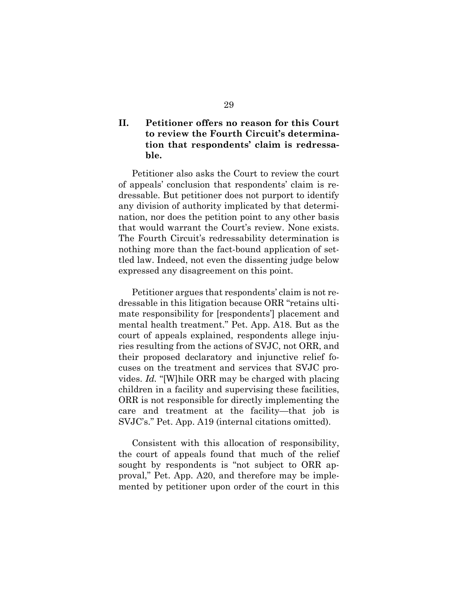## <span id="page-35-0"></span>**II. Petitioner offers no reason for this Court to review the Fourth Circuit's determination that respondents' claim is redressable.**

Petitioner also asks the Court to review the court of appeals' conclusion that respondents' claim is redressable. But petitioner does not purport to identify any division of authority implicated by that determination, nor does the petition point to any other basis that would warrant the Court's review. None exists. The Fourth Circuit's redressability determination is nothing more than the fact-bound application of settled law. Indeed, not even the dissenting judge below expressed any disagreement on this point.

Petitioner argues that respondents' claim is not redressable in this litigation because ORR "retains ultimate responsibility for [respondents'] placement and mental health treatment." Pet. App. A18. But as the court of appeals explained, respondents allege injuries resulting from the actions of SVJC, not ORR, and their proposed declaratory and injunctive relief focuses on the treatment and services that SVJC provides. *Id.* "[W]hile ORR may be charged with placing children in a facility and supervising these facilities, ORR is not responsible for directly implementing the care and treatment at the facility—that job is SVJC's." Pet. App. A19 (internal citations omitted).

Consistent with this allocation of responsibility, the court of appeals found that much of the relief sought by respondents is "not subject to ORR approval," Pet. App. A20, and therefore may be implemented by petitioner upon order of the court in this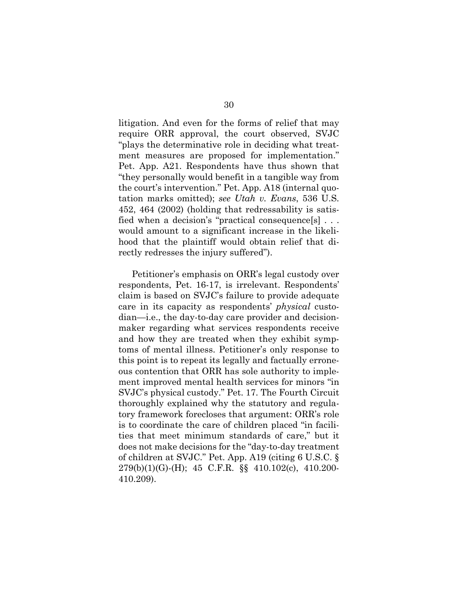litigation. And even for the forms of relief that may require ORR approval, the court observed, SVJC "plays the determinative role in deciding what treatment measures are proposed for implementation." Pet. App. A21. Respondents have thus shown that "they personally would benefit in a tangible way from the court's intervention." Pet. App. A18 (internal quotation marks omitted); *see Utah v. Evans*, 536 U.S. 452, 464 (2002) (holding that redressability is satisfied when a decision's "practical consequence[s] . . . would amount to a significant increase in the likelihood that the plaintiff would obtain relief that directly redresses the injury suffered").

Petitioner's emphasis on ORR's legal custody over respondents, Pet. 16-17, is irrelevant. Respondents' claim is based on SVJC's failure to provide adequate care in its capacity as respondents' *physical* custodian—i.e., the day-to-day care provider and decisionmaker regarding what services respondents receive and how they are treated when they exhibit symptoms of mental illness. Petitioner's only response to this point is to repeat its legally and factually erroneous contention that ORR has sole authority to implement improved mental health services for minors "in SVJC's physical custody." Pet. 17. The Fourth Circuit thoroughly explained why the statutory and regulatory framework forecloses that argument: ORR's role is to coordinate the care of children placed "in facilities that meet minimum standards of care," but it does not make decisions for the "day-to-day treatment of children at SVJC." Pet. App. A19 (citing 6 U.S.C. § 279(b)(1)(G)-(H); 45 C.F.R. §§ 410.102(c), 410.200- 410.209).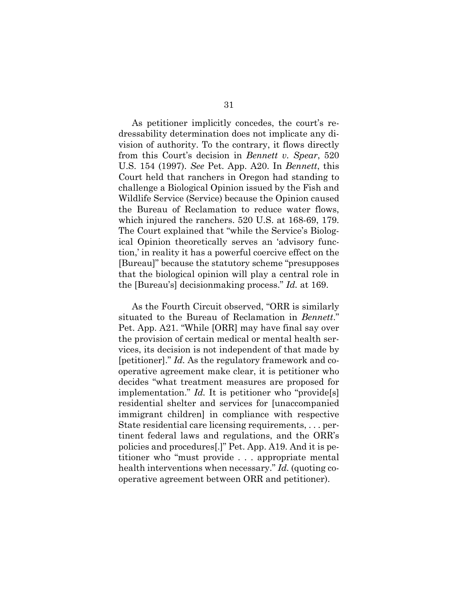As petitioner implicitly concedes, the court's redressability determination does not implicate any division of authority. To the contrary, it flows directly from this Court's decision in *Bennett v. Spear*, 520 U.S. 154 (1997). *See* Pet. App. A20. In *Bennett*, this Court held that ranchers in Oregon had standing to challenge a Biological Opinion issued by the Fish and Wildlife Service (Service) because the Opinion caused the Bureau of Reclamation to reduce water flows, which injured the ranchers. 520 U.S. at 168-69, 179. The Court explained that "while the Service's Biological Opinion theoretically serves an 'advisory function,' in reality it has a powerful coercive effect on the [Bureau]" because the statutory scheme "presupposes that the biological opinion will play a central role in the [Bureau's] decisionmaking process." *Id.* at 169.

As the Fourth Circuit observed, "ORR is similarly situated to the Bureau of Reclamation in *Bennett*." Pet. App. A21. "While [ORR] may have final say over the provision of certain medical or mental health services, its decision is not independent of that made by [petitioner]." *Id.* As the regulatory framework and cooperative agreement make clear, it is petitioner who decides "what treatment measures are proposed for implementation." *Id.* It is petitioner who "provide[s] residential shelter and services for [unaccompanied immigrant children] in compliance with respective State residential care licensing requirements, . . . pertinent federal laws and regulations, and the ORR's policies and procedures[.]" Pet. App. A19. And it is petitioner who "must provide . . . appropriate mental health interventions when necessary." *Id.* (quoting cooperative agreement between ORR and petitioner).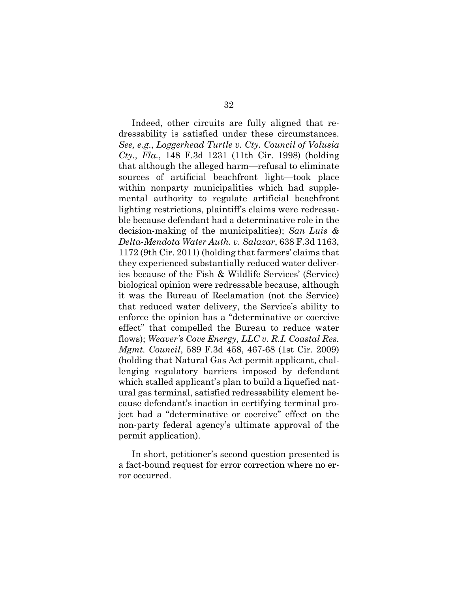Indeed, other circuits are fully aligned that redressability is satisfied under these circumstances. *See, e.g*., *Loggerhead Turtle v. Cty. Council of Volusia Cty., Fla.*, 148 F.3d 1231 (11th Cir. 1998) (holding that although the alleged harm—refusal to eliminate sources of artificial beachfront light—took place within nonparty municipalities which had supplemental authority to regulate artificial beachfront lighting restrictions, plaintiff's claims were redressable because defendant had a determinative role in the decision-making of the municipalities); *San Luis & Delta-Mendota Water Auth. v. Salazar*, 638 F.3d 1163, 1172 (9th Cir. 2011) (holding that farmers' claims that they experienced substantially reduced water deliveries because of the Fish & Wildlife Services' (Service) biological opinion were redressable because, although it was the Bureau of Reclamation (not the Service) that reduced water delivery, the Service's ability to enforce the opinion has a "determinative or coercive effect" that compelled the Bureau to reduce water flows); *Weaver's Cove Energy, LLC v. R.I. Coastal Res. Mgmt. Council*, 589 F.3d 458, 467-68 (1st Cir. 2009) (holding that Natural Gas Act permit applicant, challenging regulatory barriers imposed by defendant which stalled applicant's plan to build a liquefied natural gas terminal, satisfied redressability element because defendant's inaction in certifying terminal project had a "determinative or coercive" effect on the non-party federal agency's ultimate approval of the permit application).

In short, petitioner's second question presented is a fact-bound request for error correction where no error occurred.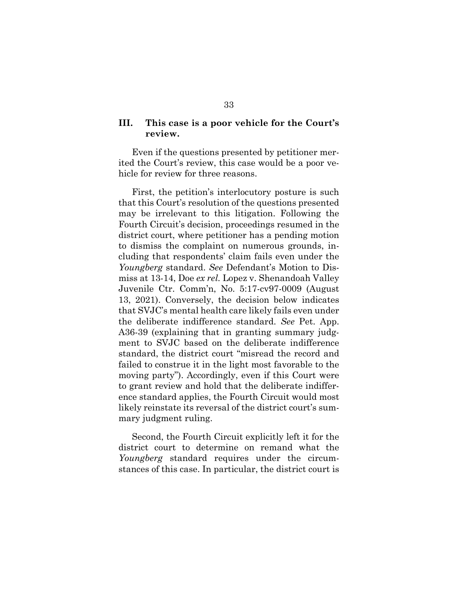#### <span id="page-39-0"></span>**III. This case is a poor vehicle for the Court's review.**

Even if the questions presented by petitioner merited the Court's review, this case would be a poor vehicle for review for three reasons.

First, the petition's interlocutory posture is such that this Court's resolution of the questions presented may be irrelevant to this litigation. Following the Fourth Circuit's decision, proceedings resumed in the district court, where petitioner has a pending motion to dismiss the complaint on numerous grounds, including that respondents' claim fails even under the *Youngberg* standard. *See* Defendant's Motion to Dismiss at 13-14, Doe *ex rel.* Lopez v. Shenandoah Valley Juvenile Ctr. Comm'n, No. 5:17-cv97-0009 (August 13, 2021). Conversely, the decision below indicates that SVJC's mental health care likely fails even under the deliberate indifference standard. *See* Pet. App. A36-39 (explaining that in granting summary judgment to SVJC based on the deliberate indifference standard, the district court "misread the record and failed to construe it in the light most favorable to the moving party"). Accordingly, even if this Court were to grant review and hold that the deliberate indifference standard applies, the Fourth Circuit would most likely reinstate its reversal of the district court's summary judgment ruling.

Second, the Fourth Circuit explicitly left it for the district court to determine on remand what the *Youngberg* standard requires under the circumstances of this case. In particular, the district court is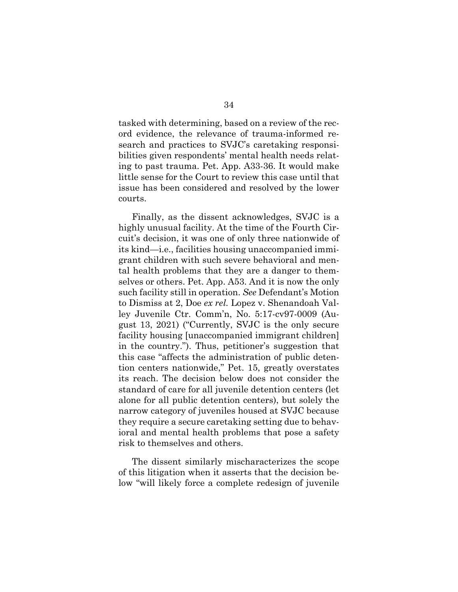tasked with determining, based on a review of the record evidence, the relevance of trauma-informed research and practices to SVJC's caretaking responsibilities given respondents' mental health needs relating to past trauma. Pet. App. A33-36. It would make little sense for the Court to review this case until that issue has been considered and resolved by the lower courts.

Finally, as the dissent acknowledges, SVJC is a highly unusual facility. At the time of the Fourth Circuit's decision, it was one of only three nationwide of its kind—i.e., facilities housing unaccompanied immigrant children with such severe behavioral and mental health problems that they are a danger to themselves or others. Pet. App. A53. And it is now the only such facility still in operation. *See* Defendant's Motion to Dismiss at 2, Doe *ex rel.* Lopez v. Shenandoah Valley Juvenile Ctr. Comm'n, No. 5:17-cv97-0009 (August 13, 2021) ("Currently, SVJC is the only secure facility housing [unaccompanied immigrant children] in the country."). Thus, petitioner's suggestion that this case "affects the administration of public detention centers nationwide," Pet. 15, greatly overstates its reach. The decision below does not consider the standard of care for all juvenile detention centers (let alone for all public detention centers), but solely the narrow category of juveniles housed at SVJC because they require a secure caretaking setting due to behavioral and mental health problems that pose a safety risk to themselves and others.

The dissent similarly mischaracterizes the scope of this litigation when it asserts that the decision below "will likely force a complete redesign of juvenile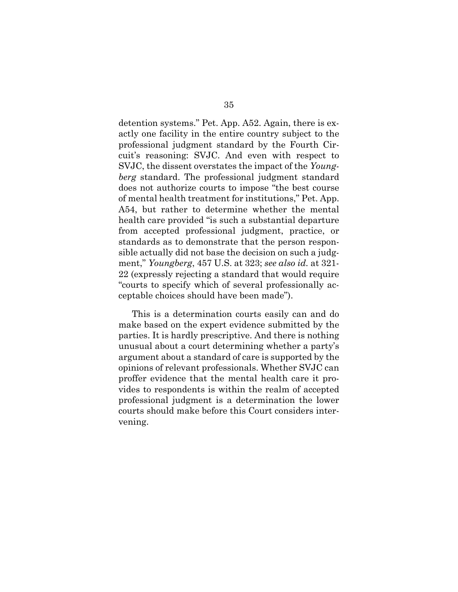detention systems." Pet. App. A52. Again, there is exactly one facility in the entire country subject to the professional judgment standard by the Fourth Circuit's reasoning: SVJC. And even with respect to SVJC, the dissent overstates the impact of the *Youngberg* standard. The professional judgment standard does not authorize courts to impose "the best course of mental health treatment for institutions," Pet. App. A54, but rather to determine whether the mental health care provided "is such a substantial departure from accepted professional judgment, practice, or standards as to demonstrate that the person responsible actually did not base the decision on such a judgment," *Youngberg*, 457 U.S. at 323; *see also id.* at 321- 22 (expressly rejecting a standard that would require "courts to specify which of several professionally acceptable choices should have been made").

This is a determination courts easily can and do make based on the expert evidence submitted by the parties. It is hardly prescriptive. And there is nothing unusual about a court determining whether a party's argument about a standard of care is supported by the opinions of relevant professionals. Whether SVJC can proffer evidence that the mental health care it provides to respondents is within the realm of accepted professional judgment is a determination the lower courts should make before this Court considers intervening.